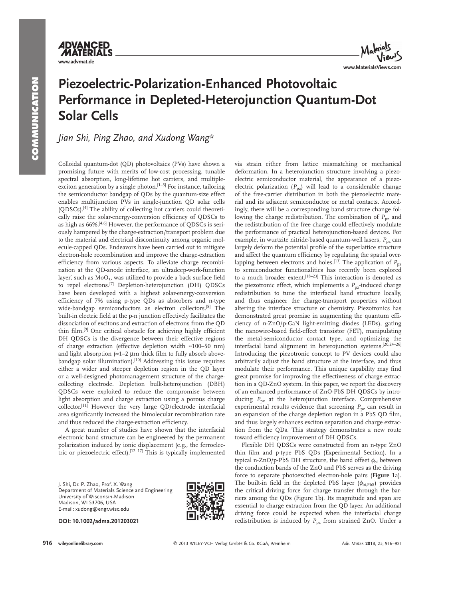**www.advmat.de**

**ADVANCED MATERI** 

# **Piezoelectric-Polarization-Enhanced Photovoltaic Performance in Depleted-Heterojunction Quantum-Dot Solar Cells**

 *Jian Shi , Ping Zhao , and Xudong Wang \** 

 Colloidal quantum-dot (QD) photovoltaics (PVs) have shown a promising future with merits of low-cost processing, tunable spectral absorption, long-lifetime hot carriers, and multipleexciton generation by a single photon.<sup>[1-5]</sup> For instance, tailoring the semiconductor bandgap of QDs by the quantum-size effect enables multijunction PVs in single-junction QD solar cells (QDSCs). [4] The ability of collecting hot carriers could theoretically raise the solar-energy-conversion efficiency of QDSCs to as high as 66%.<sup>[4,6]</sup> However, the performance of QDSCs is seriously hampered by the charge-extraction/transport problem due to the material and electrical discontinuity among organic molecule-capped QDs. Endeavors have been carried out to mitigate electron-hole recombination and improve the charge-extraction efficiency from various aspects. To alleviate charge recombination at the QD-anode interface, an ultradeep-work-function layer', such as  $MoO<sub>3</sub>$ , was utilized to provide a back surface field to repel electrons.<sup>[7]</sup> Depletion-heterojunction (DH) QDSCs have been developed with a highest solar-energy-conversion efficiency of 7% using p-type QDs as absorbers and n-type wide-bandgap semiconductors as electron collectors.<sup>[8]</sup> The built-in electric field at the p-n junction effectively facilitates the dissociation of excitons and extraction of electrons from the QD thin film.<sup>[9]</sup> One critical obstacle for achieving highly efficient DH QDSCs is the divergence between their effective regions of charge extraction (effective depletion width ≈ 100–50 nm) and light absorption  $(\approx 1-2 \mu m)$  thick film to fully absorb abovebandgap solar illumination).<sup>[10]</sup> Addressing this issue requires either a wider and steeper depletion region in the QD layer or a well-designed photomanagement structure of the chargecollecting electrode. Depletion bulk-heterojunction (DBH) QDSCs were exploited to reduce the compromise between light absorption and charge extraction using a porous charge collector.<sup>[11]</sup> However the very large QD/electrode interfacial area significantly increased the bimolecular recombination rate and thus reduced the charge-extraction efficiency.

 A great number of studies have shown that the interfacial electronic band structure can be engineered by the permanent polarization induced by ionic displacement (e.g., the ferroelectric or piezoelectric effect).<sup>[12-17]</sup> This is typically implemented

 J. Shi, Dr. P. Zhao, Prof. X. Wang Department of Materials Science and Engineering University of Wisconsin-Madison Madison, WI 53706, USA E-mail: xudong@engr.wisc.edu

 **DOI: 10.1002/adma.201203021** 



via strain either from lattice mismatching or mechanical deformation. In a heterojunction structure involving a piezoelectric semiconductor material, the appearance of a piezoelectric polarization  $(P_{pz})$  will lead to a considerable change of the free-carrier distribution in both the piezoelectric material and its adjacent semiconductor or metal contacts. Accordingly, there will be a corresponding band structure change following the charge redistribution. The combination of *P*<sub>pz</sub> and the redistribution of the free charge could effectively modulate the performance of practical heterojunction-based devices. For example, in wurtzite nitride-based quantum-well lasers,  $P_{\text{pz}}$  can largely deform the potential profile of the superlattice structure and affect the quantum efficiency by regulating the spatial overlapping between electrons and holes.<sup>[13]</sup> The application of  $P_{\text{pz}}$ to semiconductor functionalities has recently been explored to a much broader extent.<sup>[18-23]</sup> This interaction is denoted as the piezotronic effect, which implements a  $P_{pz}$ -induced charge redistribution to tune the interfacial band structure locally, and thus engineer the charge-transport properties without altering the interface structure or chemistry. Piezotronics has demonstrated great promise in augmenting the quantum efficiency of n-ZnO/p-GaN light-emitting diodes (LEDs), gating the nanowire-based field-effect transistor (FET), manipulating the metal-semiconductor contact type, and optimizing the interfacial band alignment in heterojunction systems. [20,24–26] Introducing the piezotronic concept to PV devices could also arbitrarily adjust the band structure at the interface, and thus modulate their performance. This unique capability may find

**www.MaterialsViews.com**

great promise for improving the effectiveness of charge extraction in a QD-ZnO system. In this paper, we report the discovery of an enhanced performance of ZnO-PbS DH QDSCs by introducing  $P_{\text{pz}}$  at the heterojunction interface. Comprehensive experimental results evidence that screening  $P_{pz}$  can result in an expansion of the charge depletion region in a PbS QD film, and thus largely enhances exciton separation and charge extraction from the QDs. This strategy demonstrates a new route

toward efficiency improvement of DH QDSCs.

 Flexible DH QDSCs were constructed from an n-type ZnO thin film and p-type PbS QDs (Experimental Section). In a typical n-ZnO/p-PbS DH structure, the band offset  $\phi_{bi}$  between the conduction bands of the ZnO and PbS serves as the driving force to separate photoexcited electron-hole pairs ( **Figure 1** a). The built-in field in the depleted PbS layer ( $\phi_{\text{bi.PbS}}$ ) provides the critical driving force for charge transfer through the barriers among the QDs (Figure 1b). Its magnitude and span are essential to charge extraction from the QD layer. An additional driving force could be expected when the interfacial charge redistribution is induced by  $P_{pz}$  from strained ZnO. Under a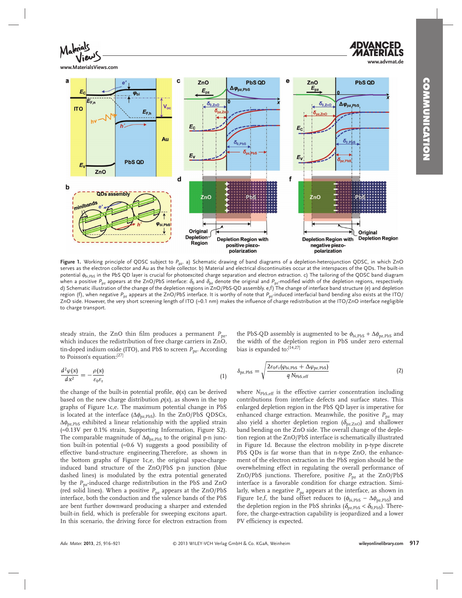**COMMUNICATION COMMUNICATION** 

**www.advmat.de**



**www.MaterialsViews.com**



Figure 1. Working principle of QDSC subject to P<sub>pz</sub>. a) Schematic drawing of band diagrams of a depletion-heterojunction QDSC, in which ZnO serves as the electron collector and Au as the hole collector. b) Material and electrical discontinuities occur at the interspaces of the QDs. The built-in potential  $\phi_{bi\, PhS}$  in the PbS QD layer is crucial for photoexcited charge separation and electron extraction. c) The tailoring of the QDSC band diagram when a positive  $P_{pz}$  appears at the ZnO/PbS interface:  $\delta_0$  and  $\delta_{pz}$  denote the original and  $P_{pz}$  modified width of the depletion regions, respectively. d) Schematic illustration of the change of the depletion regions in ZnO/PbS-QD assembly. e,f) The change of interface band structure (e) and depletion region (f), when negative P<sub>pz</sub> appears at the ZnO/PbS interface. It is worthy of note that P<sub>pz</sub>-induced interfacial band bending also exists at the ITO/ ZnO side. However, the very short screening length of ITO (≈0.1 nm) makes the influence of charge redistribution at the ITO/ZnO interface negligible to charge transport.

steady strain, the ZnO thin film produces a permanent  $P_{pz}$ , which induces the redistribution of free charge carriers in ZnO, tin-doped indium oxide (ITO), and PbS to screen  $P_{\text{pz}}$ . According to Poisson's equation:[27]

$$
\frac{d^2\varphi(x)}{dx^2} = -\frac{\rho(x)}{\varepsilon_0\varepsilon_\mathrm{r}}\tag{1}
$$

the change of the built-in potential profile,  $\phi(x)$  can be derived based on the new charge distribution  $\rho(x)$ , as shown in the top graphs of Figure 1c,e. The maximum potential change in PbS is located at the interface  $(\Delta \phi_{pz,PbS})$ . In the ZnO/PbS QDSCs,  $\Delta\phi_{\text{pz,PbS}}$  exhibited a linear relationship with the applied strain ( ≈ 0.13V per 0.1% strain, Supporting Information, Figure S2). The comparable magnitude of  $\Delta\phi_{\text{pz},\text{PbS}}$  to the original p-n junction built-in potential ( $\approx 0.6$  V) suggests a good possibility of effective band-structure engineering.Therefore, as shown in the bottom graphs of Figure 1c,e, the original space-chargeinduced band structure of the ZnO/PbS p-n junction (blue dashed lines) is modulated by the extra potential generated by the *P*<sub>pz</sub>-induced charge redistribution in the PbS and ZnO (red solid lines). When a positive  $P_{pz}$  appears at the ZnO/PbS interface, both the conduction and the valence bands of the PbS are bent further downward producing a sharper and extended built-in field, which is preferable for sweeping excitons apart. In this scenario, the driving force for electron extraction from

the PbS-QD assembly is augmented to be  $\phi_{\text{bi},\text{PbS}} + \Delta \phi_{\text{pz},\text{PbS}}$  and the width of the depletion region in PbS under zero external bias is expanded to:[14,27]

$$
\delta_{\text{pz},\text{PbS}} = \sqrt{\frac{2\varepsilon_0 \varepsilon_\text{r} (\varphi_{\text{bi},\text{PbS}} + \Delta \varphi_{\text{pz},\text{PbS}})}{q \, N_{\text{PbS},\text{eff}}}}
$$
(2)

where *N*<sub>PbS,eff</sub> is the effective carrier concentration including contributions from interface defects and surface states. This enlarged depletion region in the PbS QD layer is imperative for enhanced charge extraction. Meanwhile, the positive  $P_{pz}$  may also yield a shorter depletion region ( $\delta_{\text{pz,ZnO}}$ ) and shallower band bending on the ZnO side. The overall change of the depletion region at the ZnO/PbS interface is schematically illustrated in Figure 1d. Because the electron mobility in p-type discrete PbS QDs is far worse than that in n-type ZnO, the enhancement of the electron extraction in the PbS region should be the overwhelming effect in regulating the overall performance of ZnO/PbS junctions. Therefore, positive  $P_{pz}$  at the ZnO/PbS interface is a favorable condition for charge extraction. Similarly, when a negative  $P_{pz}$  appears at the interface, as shown in Figure 1e,f, the band offset reduces to ( $\phi_{\text{bi,PbS}} - \Delta \phi_{\text{pz,PbS}}$ ) and the depletion region in the PbS shrinks ( $\delta_{\text{pz,PbS}} < \delta_{\text{0,PbS}}$ ). Therefore, the charge-extraction capability is jeopardized and a lower PV efficiency is expected.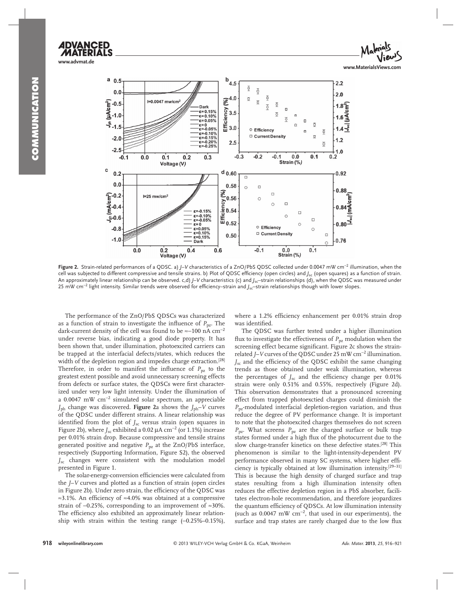



Figure 2. Strain-related performances of a QDSC. a) *J*-V characteristics of a ZnO/PbS QDSC collected under 0.0047 mW cm<sup>-2</sup> illumination, when the cell was subjected to different compressive and tensile strains. b) Plot of QDSC efficiency (open circles) and *J<sub>sc</sub>* (open squares) as a function of strain. An approximately linear relationship can be observed. c,d) *J*–V characteristics (c) and *J<sub>sc</sub>*-strain relationships (d), when the QDSC was measured under 25 mW cm<sup>-2</sup> light intensity. Similar trends were observed for efficiency–strain and *J<sub>sc</sub>*–strain relationships though with lower slopes.

 The performance of the ZnO/PbS QDSCs was characterized as a function of strain to investigate the influence of  $P_{\text{pz}}$ . The dark-current density of the cell was found to be ≈−100 nA cm<sup>-2</sup> under reverse bias, indicating a good diode property. It has been shown that, under illumination, photoexcited carriers can be trapped at the interfacial defects/states, which reduces the width of the depletion region and impedes charge extraction.<sup>[28]</sup> Therefore, in order to manifest the influence of  $P_{px}$  to the greatest extent possible and avoid unnecessary screening effects from defects or surface states, the QDSCs were first characterized under very low light intensity. Under the illumination of a 0.0047 mW  $cm^{-2}$  simulated solar spectrum, an appreciable *J*<sub>ph</sub> change was discovered. **Figure** 2a shows the *J*<sub>ph</sub>-*V* curves of the QDSC under different strains. A linear relationship was identified from the plot of  $J_{\rm sc}$  versus strain (open squares in Figure 2b), where  $J_{\rm sc}$  exhibited a 0.02  $\mu$ A cm<sup>-2</sup> (or 1.1%) increase per 0.01% strain drop. Because compressive and tensile strains generated positive and negative  $P_{pz}$  at the ZnO/PbS interface, respectively (Supporting Information, Figure S2), the observed *J*sc changes were consistent with the modulation model presented in Figure 1.

The solar-energy-conversion efficiencies were calculated from the *J*–*V* curves and plotted as a function of strain (open circles in Figure 2b). Under zero strain, the efficiency of the QDSC was ≈3.1%. An efficiency of ≈4.0% was obtained at a compressive strain of -0.25%, corresponding to an improvement of ≈30%. The efficiency also exhibited an approximately linear relationship with strain within the testing range  $(-0.25\% - 0.15\%)$ ,

where a 1.2% efficiency enhancement per 0.01% strain drop was identified.

 The QDSC was further tested under a higher illumination flux to investigate the effectiveness of  $P_{pz}$  modulation when the screening effect became significant. Figure 2c shows the strainrelated *J*-*V* curves of the QDSC under 25 mW cm<sup>-2</sup> illumination. *J<sub>sc</sub>* and the efficiency of the QDSC exhibit the same changing trends as those obtained under weak illumination, whereas the percentages of  $J_{\rm sc}$  and the efficiency change per 0.01% strain were only  $0.51\%$  and  $0.55\%$ , respectively (Figure 2d). This observation demonstrates that a pronounced screening effect from trapped photoexctied charges could diminish the  $P_{\text{pz}}$ -modulated interfacial depletion-region variation, and thus reduce the degree of PV performance change. It is important to note that the photoexcited charges themselves do not screen *P*<sub>pz</sub>. What screens *P*<sub>pz</sub> are the charged surface or bulk trap states formed under a high flux of the photocurrent due to the slow charge-transfer kinetics on these defective states.<sup>[28]</sup> This phenomenon is similar to the light-intensity-dependent PV performance observed in many SC systems, where higher efficiency is typically obtained at low illumination intensity.<sup>[29-31]</sup> This is because the high density of charged surface and trap states resulting from a high illumination intensity often reduces the effective depletion region in a PbS absorber, facilitates electron-hole recommendation, and therefore jeopardizes the quantum efficiency of QDSCs. At low illumination intensity (such as  $0.0047$  mW cm<sup>-2</sup>, that used in our experiments), the surface and trap states are rarely charged due to the low flux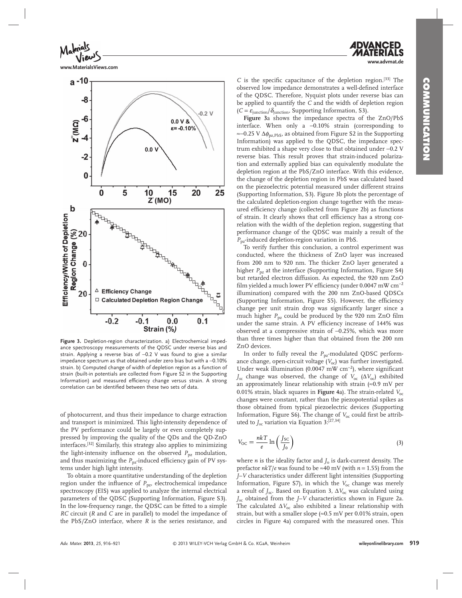**www.advmat.de**



**www.MaterialsViews.com**



Figure 3. Depletion-region characterization. a) Electrochemical impedance spectroscopy measurements of the QDSC under reverse bias and strain. Applying a reverse bias of −0.2 V was found to give a similar impedance spectrum as that obtained under zero bias but with a -0.10% strain. b) Computed change of width of depletion region as a function of strain (built-in potentials are collected from Figure S2 in the Supporting Information) and measured efficiency change versus strain. A strong correlation can be identified between these two sets of data.

of photocurrent, and thus their impedance to charge extraction and transport is minimized. This light-intensity dependence of the PV performance could be largely or even completely suppressed by improving the quality of the QDs and the QD-ZnO interfaces. [32] Similarly, this strategy also applies to minimizing the light-intensity influence on the observed  $P_{pz}$  modulation, and thus maximizing the  $P_{pz}$ -induced efficiency gain of PV systems under high light intensity.

 To obtain a more quantitative understanding of the depletion region under the influence of  $P_{pz}$ , electrochemical impedance spectroscopy (EIS) was applied to analyze the internal electrical parameters of the QDSC (Supporting Information, Figure S3). In the low-frequency range, the QDSC can be fitted to a simple *RC* circuit (*R* and *C* are in parallel) to model the impedance of the PbS/ZnO interface, where *R* is the series resistance, and

*C* is the specific capacitance of the depletion region.<sup>[33]</sup> The observed low impedance demonstrates a well-defined interface of the QDSC. Therefore, Nyquist plots under reverse bias can be applied to quantify the *C* and the width of depletion region  $(C = \varepsilon_{\text{junction}}/\delta_{\text{junction}}$ , Supporting Information, S3).

Figure 3a shows the impedance spectra of the ZnO/PbS interface. When only a -0.10% strain (corresponding to ≈− 0.25 V Δφpz,PbS , as obtained from Figure S2 in the Supporting Information) was applied to the QDSC, the impedance spectrum exhibited a shape very close to that obtained under −0.2 V reverse bias. This result proves that strain-induced polarization and externally applied bias can equivalently modulate the depletion region at the PbS/ZnO interface. With this evidence, the change of the depletion region in PbS was calculated based on the piezoelectric potential measured under different strains (Supporting Information, S3). Figure 3b plots the percentage of the calculated depletion-region change together with the measured efficiency change (collected from Figure 2b) as functions of strain. It clearly shows that cell efficiency has a strong correlation with the width of the depletion region, suggesting that performance change of the QDSC was mainly a result of the *P*pz -induced depletion-region variation in PbS.

 To verify further this conclusion, a control experiment was conducted, where the thickness of ZnO layer was increased from 200 nm to 920 nm. The thicker ZnO layer generated a higher *P*<sub>pz</sub> at the interface (Supporting Information, Figure S4) but retarded electron diffusion. As expected, the 920 nm ZnO film yielded a much lower PV efficiency (under 0.0047 mW  $cm^{-2}$ illumination) compared with the 200 nm ZnO-based QDSCs (Supporting Information, Figure S5). However, the efficiency change per unit strain drop was significantly larger since a much higher  $P_{pz}$  could be produced by the 920 nm ZnO film under the same strain. A PV efficiency increase of 144% was observed at a compressive strain of −0.25%, which was more than three times higher than that obtained from the 200 nm ZnO devices.

In order to fully reveal the *P*<sub>pz</sub>-modulated QDSC performance change, open-circuit voltage (V<sub>oc</sub>) was further investigated. Under weak illumination (0.0047 mW cm<sup>-2</sup>), where significant  $J_{\rm sc}$  change was observed, the change of  $V_{\rm oc}$  ( $\Delta V_{\rm oc}$ ) exhibited an approximately linear relationship with strain  $\approx 0.9$  mV per 0.01% strain, black squares in **Figure** 4a). The strain-related *V*<sub>oc</sub> changes were constant, rather than the piezopotential spikes as those obtained from typical piezoelectric devices (Supporting Information, Figure S6). The change of  $V_{\text{oc}}$  could first be attributed to *J*<sub>sc</sub> variation via Equation 3:<sup>[27,34]</sup>

$$
V_{\rm OC} = \frac{nkT}{e} \ln \left( \frac{J_{\rm SC}}{J_0} \right) \tag{3}
$$

where *n* is the ideality factor and  $J_0$  is dark-current density. The prefactor  $nkT/e$  was found to be  $\approx 40$  mV (with  $n = 1.55$ ) from the *J*–*V* characteristics under different light intensities (Supporting Information, Figure S7), in which the  $V_{\text{oc}}$  change was merely a result of  $J_{\rm sc}$ . Based on Equation 3,  $\Delta V_{\rm oc}$  was calculated using *J*<sub>sc</sub> obtained from the *J*-*V* characteristics shown in Figure 2a. The calculated  $\Delta V_{\text{oc}}$  also exhibited a linear relationship with strain, but with a smaller slope  $\approx 0.5$  mV per 0.01% strain, open circles in Figure 4a) compared with the measured ones. This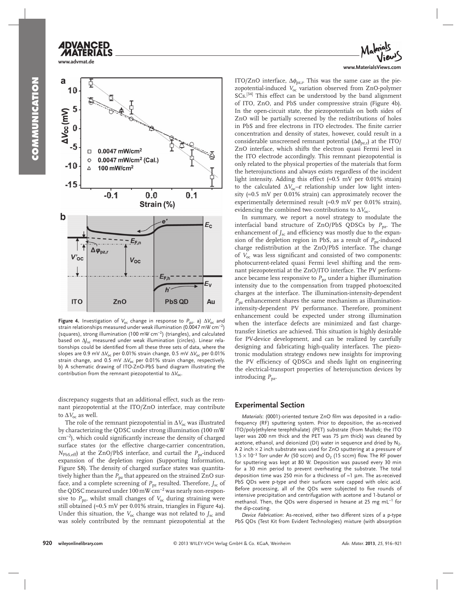

**www.advmat.de**

**ADVANCED** 

## a 10 5 AVoc (mV)  $\bf{0}$  $0.0047$  mW/cm<sup>2</sup>  $\Box$  $0.0047$  mW/cm<sup>2</sup> (Cal.)  $\Omega$  $-10$ 100 mW/cm<sup>2</sup>  $\triangle$  $-15$  $-0.1$  $0.0$  $0.1$ Strain (%) b  $E_{\rm C}$  $E_{F,n}$  $\Delta \varphi_{pz,1}$  $V'_{\text{OC}}$  $V_{OC}$  $E_{F,h}$  $E_{\rm V}$ **ITO** ZnO **PbS QD** Au

 **Figure 4.** Investigation of  $V_{oc}$  change in response to  $P_{pz}$ . a)  $\Delta V_{oc}$  and strain relationships measured under weak illumination (0.0047 mW cm<sup>-2</sup>) (squares), strong illumination (100 mW cm<sup>-2</sup>) (triangles), and calculated based on  $Δf<sub>sc</sub>$  measured under weak illumination (circles). Linear relationships could be identified from all these three sets of data, where the slopes are 0.9 mV Δ*V*oc per 0.01% strain change, 0.5 mV Δ*V*oc per 0.01% strain change, and 0.5 mV Δ*V*oc per 0.01% strain change, respectively. b) A schematic drawing of ITO-ZnO-PbS band diagram illustrating the contribution from the remnant piezopotential to ΔV<sub>oc</sub>.

discrepancy suggests that an additional effect, such as the remnant piezopotential at the ITO/ZnO interface, may contribute to  $\Delta V_{\rm oc}$  as well.

The role of the remnant piezopotential in  $\Delta V_{\text{oc}}$  was illustrated by characterizing the QDSC under strong illumination (100 mW cm<sup>-2</sup>), which could significantly increase the density of charged surface states (or the effective charge-carrier concentration,  $N_{\text{PbS,eff}}$  at the ZnO/PbS interface, and curtail the  $P_{\text{pz}}$ -induced expansion of the depletion region (Supporting Information, Figure S8). The density of charged surface states was quantitatively higher than the  $P_{pz}$  that appeared on the strained ZnO surface, and a complete screening of  $P_{pz}$  resulted. Therefore,  $J_{sc}$  of the QDSC measured under 100 mW  $\rm cm^{-2}$  was nearly non-responsive to  $P_{\text{pz}}$ , whilst small changes of  $V_{\text{oc}}$  during straining were still obtained ( $\approx$ 0.5 mV per 0.01% strain, triangles in Figure 4a). Under this situation, the  $V_{oc}$  change was not related to  $J_{sc}$  and was solely contributed by the remnant piezopotential at the



ITO/ZnO interface,  $\Delta \phi_{\text{DZ},\text{r}}$ . This was the same case as the piezopotential-induced *V*<sub>oc</sub> variation observed from ZnO-polymer SCs.<sup>[34]</sup> This effect can be understood by the band alignment of ITO, ZnO, and PbS under compressive strain (Figure 4b). In the open-circuit state, the piezopotentials on both sides of ZnO will be partially screened by the redistributions of holes in PbS and free electrons in ITO electrodes. The finite carrier concentration and density of states, however, could result in a considerable unscreened remnant potential  $(\Delta \phi_{\text{DZ},r})$  at the ITO/ ZnO interface, which shifts the electron quasi Fermi level in the ITO electrode accordingly. This remnant piezopotential is only related to the physical properties of the materials that form the heterojunctions and always exists regardless of the incident light intensity. Adding this effect ( $\approx 0.5$  mV per 0.01% strain) to the calculated  $\Delta V_{\text{oc}}-\varepsilon$  relationship under low light intensity ( $\approx 0.5$  mV per 0.01% strain) can approximately recover the experimentally determined result  $(\approx 0.9 \text{ mV} \text{ per } 0.01\% \text{ strain})$ , evidencing the combined two contributions to  $\Delta V_{\text{oc}}$ .

 In summary, we report a novel strategy to modulate the interfacial band structure of ZnO/PbS QDSCs by  $P_{pz}$ . The enhancement of  $J_{\rm sc}$  and efficiency was mostly due to the expansion of the depletion region in PbS, as a result of *P*<sub>pz</sub>-induced charge redistribution at the ZnO/PbS interface. The change of  $V_{\text{oc}}$  was less significant and consisted of two components: photocurrent-related quasi Fermi level shifting and the remnant piezopotential at the ZnO/ITO interface. The PV performance became less responsive to  $P_{pz}$  under a higher illumination intensity due to the compensation from trapped photoexcited charges at the interface. The illumination-intensity-dependent *P*pz enhancement shares the same mechanism as illuminationintensity-dependent PV performance. Therefore, prominent enhancement could be expected under strong illumination when the interface defects are minimized and fast chargetransfer kinetics are achieved. This situation is highly desirable for PV-device development, and can be realized by carefully designing and fabricating high-quality interfaces. The piezotronic modulation strategy endows new insights for improving the PV efficiency of QDSCs and sheds light on engineering the electrical-transport properties of heterojunction devices by introducing  $P_{\text{pz}}$ .

### **Experimental Section**

*Materials*: (0001)-oriented texture ZnO film was deposited in a radiofrequency (RF) sputtering system. Prior to deposition, the as-received ITO/poly(ethylene terephthalate) (PET) substrate (from Multek; the ITO layer was 200 nm thick and the PET was 75 μm thick) was cleaned by acetone, ethanol, and deionized (DI) water in sequence and dried by  $N_2$ . A 2 inch  $\times$  2 inch substrate was used for ZnO sputtering at a pressure of  $1.5 \times 10^{-3}$  Torr under Ar (50 sccm) and O<sub>2</sub> (15 sccm) flow. The RF power for sputtering was kept at 80 W. Deposition was paused every 30 min for a 30 min period to prevent overheating the substrate. The total deposition time was 250 min for a thickness of  $\approx$  1 µm. The as-received PbS QDs were p-type and their surfaces were capped with oleic acid. Before processing, all of the QDs were subjected to five rounds of intensive precipitation and centrifugation with acetone and 1-butanol or methanol. Then, the QDs were dispersed in hexane at 25 mg mL<sup>-1</sup> for the dip-coating.

*Device Fabrication*: As-received, either two different sizes of a p-type PbS QDs (Test Kit from Evident Technologies) mixture (with absorption